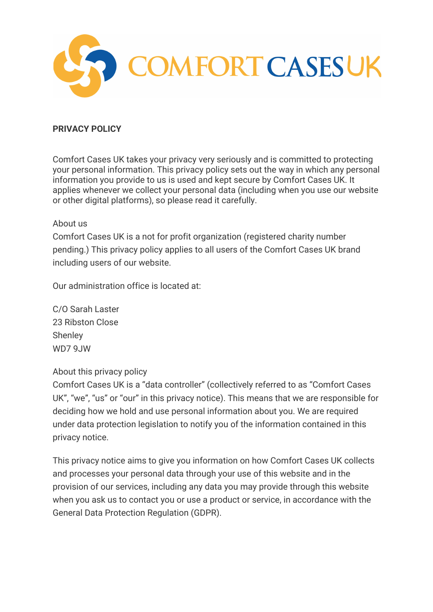

# **PRIVACY POLICY**

Comfort Cases UK takes your privacy very seriously and is committed to protecting your personal information. This privacy policy sets out the way in which any personal information you provide to us is used and kept secure by Comfort Cases UK. It applies whenever we collect your personal data (including when you use our website or other digital platforms), so please read it carefully.

### About us

Comfort Cases UK is a not for profit organization (registered charity number pending.) This privacy policy applies to all users of the Comfort Cases UK brand including users of our website.

Our administration office is located at:

C/O Sarah Laster 23 Ribston Close **Shenley** WD7 9JW

## About this privacy policy

Comfort Cases UK is a "data controller" (collectively referred to as "Comfort Cases UK", "we", "us" or "our" in this privacy notice). This means that we are responsible for deciding how we hold and use personal information about you. We are required under data protection legislation to notify you of the information contained in this privacy notice.

This privacy notice aims to give you information on how Comfort Cases UK collects and processes your personal data through your use of this website and in the provision of our services, including any data you may provide through this website when you ask us to contact you or use a product or service, in accordance with the General Data Protection Regulation (GDPR).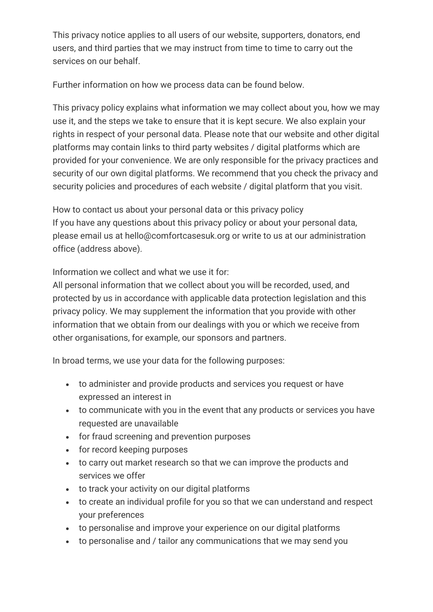This privacy notice applies to all users of our website, supporters, donators, end users, and third parties that we may instruct from time to time to carry out the services on our behalf.

Further information on how we process data can be found below.

This privacy policy explains what information we may collect about you, how we may use it, and the steps we take to ensure that it is kept secure. We also explain your rights in respect of your personal data. Please note that our website and other digital platforms may contain links to third party websites / digital platforms which are provided for your convenience. We are only responsible for the privacy practices and security of our own digital platforms. We recommend that you check the privacy and security policies and procedures of each website / digital platform that you visit.

How to contact us about your personal data or this privacy policy If you have any questions about this privacy policy or about your personal data, please email us at hello@comfortcasesuk.org or write to us at our administration office (address above).

Information we collect and what we use it for:

All personal information that we collect about you will be recorded, used, and protected by us in accordance with applicable data protection legislation and this privacy policy. We may supplement the information that you provide with other information that we obtain from our dealings with you or which we receive from other organisations, for example, our sponsors and partners.

In broad terms, we use your data for the following purposes:

- to administer and provide products and services you request or have expressed an interest in
- to communicate with you in the event that any products or services you have requested are unavailable
- for fraud screening and prevention purposes
- for record keeping purposes
- to carry out market research so that we can improve the products and services we offer
- to track your activity on our digital platforms
- to create an individual profile for you so that we can understand and respect your preferences
- to personalise and improve your experience on our digital platforms
- to personalise and / tailor any communications that we may send you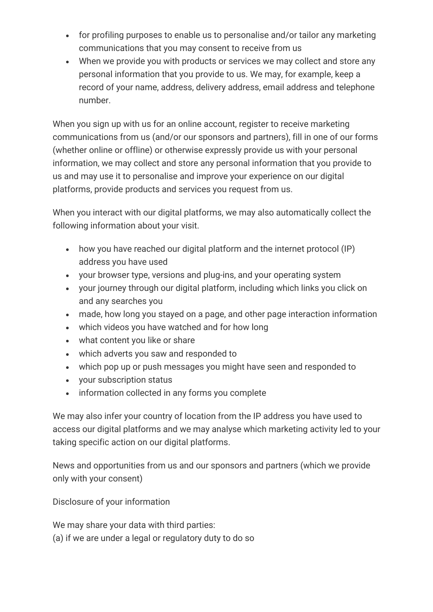- for profiling purposes to enable us to personalise and/or tailor any marketing communications that you may consent to receive from us
- When we provide you with products or services we may collect and store any personal information that you provide to us. We may, for example, keep a record of your name, address, delivery address, email address and telephone number.

When you sign up with us for an online account, register to receive marketing communications from us (and/or our sponsors and partners), fill in one of our forms (whether online or offline) or otherwise expressly provide us with your personal information, we may collect and store any personal information that you provide to us and may use it to personalise and improve your experience on our digital platforms, provide products and services you request from us.

When you interact with our digital platforms, we may also automatically collect the following information about your visit.

- how you have reached our digital platform and the internet protocol (IP) address you have used
- your browser type, versions and plug-ins, and your operating system
- your journey through our digital platform, including which links you click on and any searches you
- made, how long you stayed on a page, and other page interaction information
- which videos you have watched and for how long
- what content you like or share
- which adverts you saw and responded to
- which pop up or push messages you might have seen and responded to
- your subscription status
- information collected in any forms you complete

We may also infer your country of location from the IP address you have used to access our digital platforms and we may analyse which marketing activity led to your taking specific action on our digital platforms.

News and opportunities from us and our sponsors and partners (which we provide only with your consent)

Disclosure of your information

We may share your data with third parties: (a) if we are under a legal or regulatory duty to do so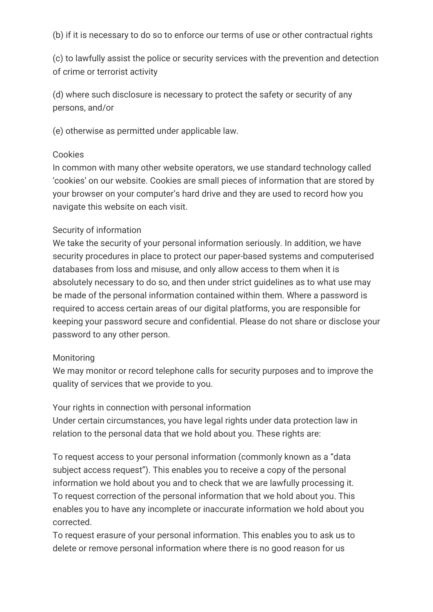(b) if it is necessary to do so to enforce our terms of use or other contractual rights

(c) to lawfully assist the police or security services with the prevention and detection of crime or terrorist activity

(d) where such disclosure is necessary to protect the safety or security of any persons, and/or

(e) otherwise as permitted under applicable law.

### Cookies

In common with many other website operators, we use standard technology called 'cookies' on our website. Cookies are small pieces of information that are stored by your browser on your computer's hard drive and they are used to record how you navigate this website on each visit.

### Security of information

We take the security of your personal information seriously. In addition, we have security procedures in place to protect our paper-based systems and computerised databases from loss and misuse, and only allow access to them when it is absolutely necessary to do so, and then under strict guidelines as to what use may be made of the personal information contained within them. Where a password is required to access certain areas of our digital platforms, you are responsible for keeping your password secure and confidential. Please do not share or disclose your password to any other person.

### Monitoring

We may monitor or record telephone calls for security purposes and to improve the quality of services that we provide to you.

Your rights in connection with personal information

Under certain circumstances, you have legal rights under data protection law in relation to the personal data that we hold about you. These rights are:

To request access to your personal information (commonly known as a "data subject access request"). This enables you to receive a copy of the personal information we hold about you and to check that we are lawfully processing it. To request correction of the personal information that we hold about you. This enables you to have any incomplete or inaccurate information we hold about you corrected.

To request erasure of your personal information. This enables you to ask us to delete or remove personal information where there is no good reason for us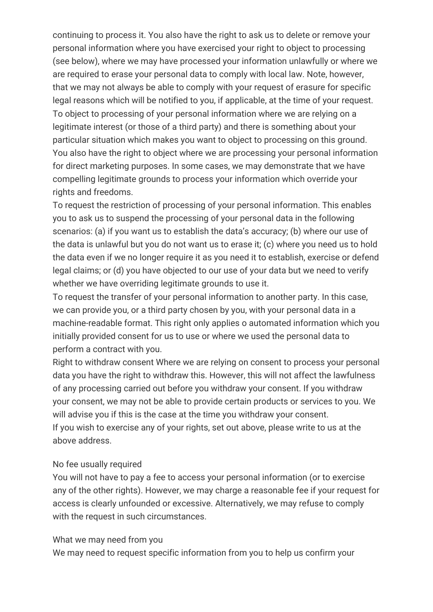continuing to process it. You also have the right to ask us to delete or remove your personal information where you have exercised your right to object to processing (see below), where we may have processed your information unlawfully or where we are required to erase your personal data to comply with local law. Note, however, that we may not always be able to comply with your request of erasure for specific legal reasons which will be notified to you, if applicable, at the time of your request. To object to processing of your personal information where we are relying on a legitimate interest (or those of a third party) and there is something about your particular situation which makes you want to object to processing on this ground. You also have the right to object where we are processing your personal information for direct marketing purposes. In some cases, we may demonstrate that we have compelling legitimate grounds to process your information which override your rights and freedoms.

To request the restriction of processing of your personal information. This enables you to ask us to suspend the processing of your personal data in the following scenarios: (a) if you want us to establish the data's accuracy; (b) where our use of the data is unlawful but you do not want us to erase it; (c) where you need us to hold the data even if we no longer require it as you need it to establish, exercise or defend legal claims; or (d) you have objected to our use of your data but we need to verify whether we have overriding legitimate grounds to use it.

To request the transfer of your personal information to another party. In this case, we can provide you, or a third party chosen by you, with your personal data in a machine-readable format. This right only applies o automated information which you initially provided consent for us to use or where we used the personal data to perform a contract with you.

Right to withdraw consent Where we are relying on consent to process your personal data you have the right to withdraw this. However, this will not affect the lawfulness of any processing carried out before you withdraw your consent. If you withdraw your consent, we may not be able to provide certain products or services to you. We will advise you if this is the case at the time you withdraw your consent. If you wish to exercise any of your rights, set out above, please write to us at the above address.

#### No fee usually required

You will not have to pay a fee to access your personal information (or to exercise any of the other rights). However, we may charge a reasonable fee if your request for access is clearly unfounded or excessive. Alternatively, we may refuse to comply with the request in such circumstances.

#### What we may need from you

We may need to request specific information from you to help us confirm your